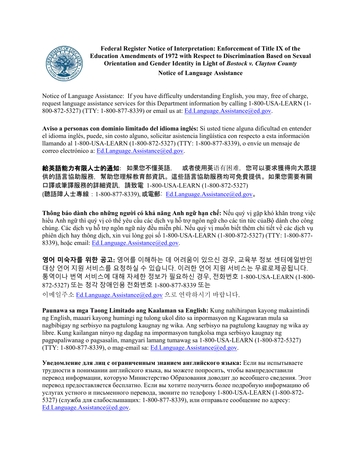

**Federal Register Notice of Interpretation: Enforcement of Title IX of the Education Amendments of 1972 with Respect to Discrimination Based on Sexual Orientation and Gender Identity in Light of** *Bostock v. Clayton County* **Notice of Language Assistance**

Notice of Language Assistance: If you have difficulty understanding English, you may, free of charge, request language assistance services for this Department information by calling 1-800-USA-LEARN (1-800-872-5327) (TTY: 1-800-877-8339) or email us at: [Ed.Language.Assistance@ed.gov.](mailto:Ed.Language.Assistance@ed.gov)

**Aviso a personas con dominio limitado del idioma inglés:** Si usted tiene alguna dificultad en entender el idioma inglés, puede, sin costo alguno, solicitar asistencia lingüística con respecto a esta información llamando al 1-800-USA-LEARN (1-800-872-5327) (TTY: 1-800-877-8339), o envíe un mensaje de correo electrónico a: [Ed.Language.Assistance@ed.gov.](mailto:Ed.Language.Assistance@ed.gov)

給英語能力有限人士的通知: 如果您不懂英語, 或者使用英语有困难, 您可以要求獲得向大眾提 供的語言協助服務,幫助您理解教育部資訊。這些語言協助服務均可免費提供。如果您需要有關 口譯或筆譯服務的詳細資訊,請致電 1-800-USA-LEARN (1-800-872-5327) (聽語障人士專線:1-800-877-8339), 或電郵: [Ed.Language.Assistance@ed.gov](mailto:Ed.Language.Assistance@ed.gov)。

**Thông báo dành cho những người có khả năng Anh ngữ hạn chế:** Nếu quý vị gặp khó khăn trong việc hiểu Anh ngữ thì quý vị có thể yêu cầu các dịch vụ hỗ trợ ngôn ngữ cho các tin tức của Bộ dành cho công chúng. Các dịch vụ hỗ trợ ngôn ngữ này đều miễn phí. Nếu quý vị muốn biết thêm chi tiết về các dịch vụ phiên dịch hay thông dịch, xin vui lòng gọi số 1-800-USA-LEARN (1-800-872-5327) (TTY: 1-800-877- 8339), hoặc email: [Ed.Language.Assistance@ed.gov.](mailto:Ed.Language.Assistance@ed.gov)

**영어 미숙자를 위한 공고:** 영어를 이해하는 데 어려움이 있으신 경우, 교육부 정보 센터에일반인 대상 언어 지원 서비스를 요청하실 수 있습니다. 이러한 언어 지원 서비스는 무료로제공됩니다. 통역이나 번역 서비스에 대해 자세한 정보가 필요하신 경우, 전화번호 1-800-USA-LEARN (1-800- 872-5327) 또는 청각 장애인용 전화번호 1-800-877-8339 또는 이메일주소 [Ed.Language.Assistance@ed.gov](mailto:Ed.Language.Assistance@ed.gov) 으로 연락하시기 바랍니다.

**Paunawa sa mga Taong Limitado ang Kaalaman sa English:** Kung nahihirapan kayong makaintindi ng English, maaari kayong humingi ng tulong ukol dito sa inpormasyon ng Kagawaran mula sa nagbibigay ng serbisyo na pagtulong kaugnay ng wika. Ang serbisyo na pagtulong kaugnay ng wika ay libre. Kung kailangan ninyo ng dagdag na impormasyon tungkolsa mga serbisyo kaugnay ng pagpapaliwanag o pagsasalin, mangyari lamang tumawag sa 1-800-USA-LEARN (1-800-872-5327) (TTY: 1-800-877-8339), o mag-email sa: [Ed.Language.Assistance@ed.gov.](mailto:Ed.Language.Assistance@ed.gov)

**Уведомление для лиц с ограниченным знанием английского языка:** Если вы испытываете трудности в понимании английского языка, вы можете попросить, чтобы вампредоставили перевод информации, которую Министерство Образования доводит до всеобщего сведения. Этот перевод предоставляется бесплатно. Если вы хотите получить более подробную информацию об услугах устного и письменного перевода, звоните по телефону 1-800-USA-LEARN (1-800-872- 5327) (служба для слабослышащих: 1-800-877-8339), или отправьте сообщение по адресу: [Ed.Language.Assistance@ed.gov.](mailto:Ed.Language.Assistance@ed.gov)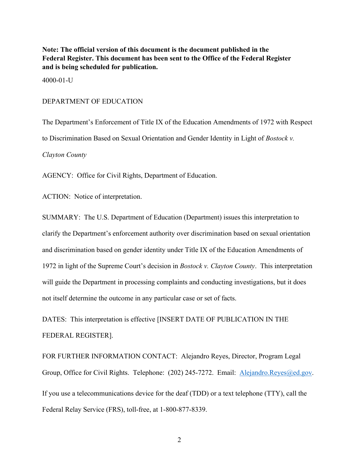**Note: The official version of this document is the document published in the Federal Register. This document has been sent to the Office of the Federal Register and is being scheduled for publication.**

4000-01-U

### DEPARTMENT OF EDUCATION

The Department's Enforcement of Title IX of the Education Amendments of 1972 with Respect to Discrimination Based on Sexual Orientation and Gender Identity in Light of *Bostock v. Clayton County*

AGENCY: Office for Civil Rights, Department of Education.

ACTION: Notice of interpretation.

SUMMARY: The U.S. Department of Education (Department) issues this interpretation to clarify the Department's enforcement authority over discrimination based on sexual orientation and discrimination based on gender identity under Title IX of the Education Amendments of 1972 in light of the Supreme Court's decision in *Bostock v. Clayton County*. This interpretation will guide the Department in processing complaints and conducting investigations, but it does not itself determine the outcome in any particular case or set of facts.

DATES: This interpretation is effective [INSERT DATE OF PUBLICATION IN THE FEDERAL REGISTER].

FOR FURTHER INFORMATION CONTACT: Alejandro Reyes, Director, Program Legal Group, Office for Civil Rights. Telephone: (202) 245-7272. Email: [Alejandro.Reyes@ed.gov.](mailto:Alejandro.Reyes@ed.gov) If you use a telecommunications device for the deaf (TDD) or a text telephone (TTY), call the Federal Relay Service (FRS), toll-free, at 1-800-877-8339.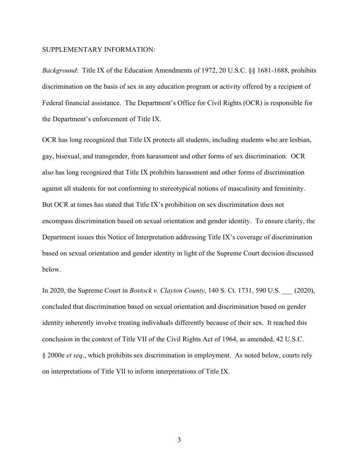#### SUPPLEMENTARY INFORMATION:

*Background*: Title IX of the Education Amendments of 1972, 20 U.S.C. §§ 1681-1688, prohibits discrimination on the basis of sex in any education program or activity offered by a recipient of Federal financial assistance. The Department's Office for Civil Rights (OCR) is responsible for the Department's enforcement of Title IX.

OCR has long recognized that Title IX protects all students, including students who are lesbian, gay, bisexual, and transgender, from harassment and other forms of sex discrimination. OCR also has long recognized that Title IX prohibits harassment and other forms of discrimination against all students for not conforming to stereotypical notions of masculinity and femininity. But OCR at times has stated that Title IX's prohibition on sex discrimination does not encompass discrimination based on sexual orientation and gender identity. To ensure clarity, the Department issues this Notice of Interpretation addressing Title IX's coverage of discrimination based on sexual orientation and gender identity in light of the Supreme Court decision discussed below.

In 2020, the Supreme Court in *Bostock v. Clayton County*, 140 S. Ct. 1731, 590 U.S. \_\_\_ (2020), concluded that discrimination based on sexual orientation and discrimination based on gender identity inherently involve treating individuals differently because of their sex. It reached this conclusion in the context of Title VII of the Civil Rights Act of 1964, as amended, 42 U.S.C. § 2000e *et seq*., which prohibits sex discrimination in employment. As noted below, courts rely on interpretations of Title VII to inform interpretations of Title IX.

3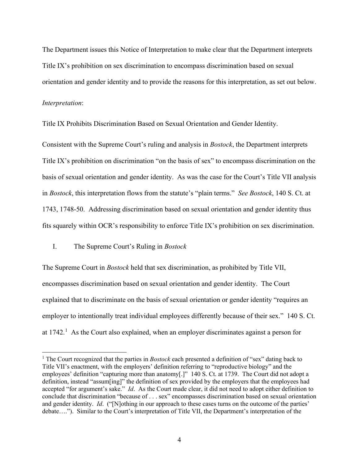The Department issues this Notice of Interpretation to make clear that the Department interprets Title IX's prohibition on sex discrimination to encompass discrimination based on sexual orientation and gender identity and to provide the reasons for this interpretation, as set out below.

# *Interpretation*:

Title IX Prohibits Discrimination Based on Sexual Orientation and Gender Identity.

Consistent with the Supreme Court's ruling and analysis in *Bostock*, the Department interprets Title IX's prohibition on discrimination "on the basis of sex" to encompass discrimination on the basis of sexual orientation and gender identity. As was the case for the Court's Title VII analysis in *Bostock*, this interpretation flows from the statute's "plain terms." *See Bostock*, 140 S. Ct. at 1743, 1748-50. Addressing discrimination based on sexual orientation and gender identity thus fits squarely within OCR's responsibility to enforce Title IX's prohibition on sex discrimination.

## I. The Supreme Court's Ruling in *Bostock*

The Supreme Court in *Bostock* held that sex discrimination, as prohibited by Title VII, encompasses discrimination based on sexual orientation and gender identity. The Court explained that to discriminate on the basis of sexual orientation or gender identity "requires an employer to intentionally treat individual employees differently because of their sex." 140 S. Ct. at  $1742<sup>1</sup>$  $1742<sup>1</sup>$  As the Court also explained, when an employer discriminates against a person for

<span id="page-3-0"></span><sup>1</sup> The Court recognized that the parties in *Bostock* each presented a definition of "sex" dating back to Title VII's enactment, with the employers' definition referring to "reproductive biology" and the employees' definition "capturing more than anatomy[.]" 140 S. Ct. at 1739. The Court did not adopt a definition, instead "assum[ing]" the definition of sex provided by the employers that the employees had accepted "for argument's sake." *Id*. As the Court made clear, it did not need to adopt either definition to conclude that discrimination "because of . . . sex" encompasses discrimination based on sexual orientation and gender identity. *Id*. ("[N]othing in our approach to these cases turns on the outcome of the parties' debate…."). Similar to the Court's interpretation of Title VII, the Department's interpretation of the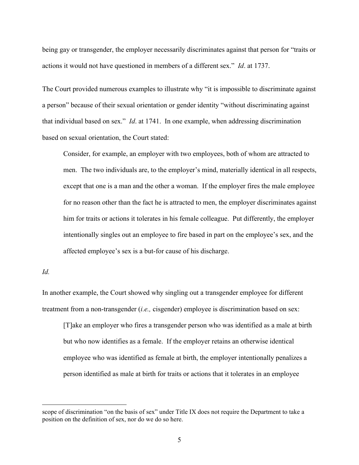being gay or transgender, the employer necessarily discriminates against that person for "traits or actions it would not have questioned in members of a different sex." *Id*. at 1737.

The Court provided numerous examples to illustrate why "it is impossible to discriminate against a person" because of their sexual orientation or gender identity "without discriminating against that individual based on sex." *Id*. at 1741. In one example, when addressing discrimination based on sexual orientation, the Court stated:

Consider, for example, an employer with two employees, both of whom are attracted to men. The two individuals are, to the employer's mind, materially identical in all respects, except that one is a man and the other a woman. If the employer fires the male employee for no reason other than the fact he is attracted to men, the employer discriminates against him for traits or actions it tolerates in his female colleague. Put differently, the employer intentionally singles out an employee to fire based in part on the employee's sex, and the affected employee's sex is a but-for cause of his discharge.

*Id.*

In another example, the Court showed why singling out a transgender employee for different treatment from a non-transgender (*i.e.,* cisgender) employee is discrimination based on sex:

[T]ake an employer who fires a transgender person who was identified as a male at birth but who now identifies as a female. If the employer retains an otherwise identical employee who was identified as female at birth, the employer intentionally penalizes a person identified as male at birth for traits or actions that it tolerates in an employee

scope of discrimination "on the basis of sex" under Title IX does not require the Department to take a position on the definition of sex, nor do we do so here.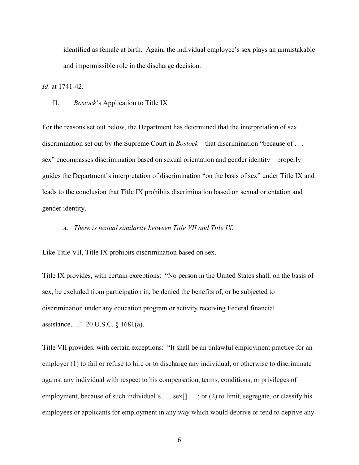identified as female at birth. Again, the individual employee's sex plays an unmistakable and impermissible role in the discharge decision.

*Id*. at 1741-42*.*

II. *Bostock*'s Application to Title IX

For the reasons set out below, the Department has determined that the interpretation of sex discrimination set out by the Supreme Court in *Bostock*—that discrimination "because of . . . sex" encompasses discrimination based on sexual orientation and gender identity—properly guides the Department's interpretation of discrimination "on the basis of sex" under Title IX and leads to the conclusion that Title IX prohibits discrimination based on sexual orientation and gender identity.

### a. *There is textual similarity between Title VII and Title IX.*

Like Title VII, Title IX prohibits discrimination based on sex.

Title IX provides, with certain exceptions: "No person in the United States shall, on the basis of sex, be excluded from participation in, be denied the benefits of, or be subjected to discrimination under any education program or activity receiving Federal financial assistance…." 20 U.S.C. § 1681(a).

Title VII provides, with certain exceptions: "It shall be an unlawful employment practice for an employer (1) to fail or refuse to hire or to discharge any individual, or otherwise to discriminate against any individual with respect to his compensation, terms, conditions, or privileges of employment, because of such individual's . . . sex[] . . .; or (2) to limit, segregate, or classify his employees or applicants for employment in any way which would deprive or tend to deprive any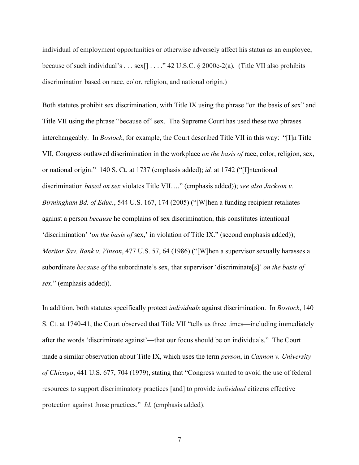individual of employment opportunities or otherwise adversely affect his status as an employee, because of such individual's . . . sex[] . . . ." 42 U.S.C. § 2000e-2(a)*.* (Title VII also prohibits discrimination based on race, color, religion, and national origin.)

Both statutes prohibit sex discrimination, with Title IX using the phrase "on the basis of sex" and Title VII using the phrase "because of" sex. The Supreme Court has used these two phrases interchangeably. In *Bostock*, for example, the Court described Title VII in this way: "[I]n Title VII, Congress outlawed discrimination in the workplace *on the basis of* race, color, religion, sex, or national origin." 140 S. Ct. at 1737 (emphasis added); *id.* at 1742 ("[I]ntentional discrimination *based on sex* violates Title VII…." (emphasis added)); *see also Jackson v. Birmingham Bd. of Educ.*, 544 U.S. 167, 174 (2005) ("[W]hen a funding recipient retaliates against a person *because* he complains of sex discrimination, this constitutes intentional 'discrimination' '*on the basis of* sex,' in violation of Title IX." (second emphasis added)); *Meritor Sav. Bank v. Vinson*, 477 U.S. 57, 64 (1986) ("[W]hen a supervisor sexually harasses a subordinate *because of* the subordinate's sex, that supervisor 'discriminate[s]' *on the basis of sex.*" (emphasis added)).

In addition, both statutes specifically protect *individuals* against discrimination. In *Bostock*, 140 S. Ct. at 1740-41, the Court observed that Title VII "tells us three times—including immediately after the words 'discriminate against'—that our focus should be on individuals." The Court made a similar observation about Title IX, which uses the term *person*, in *Cannon v. University of Chicago*, 441 U.S. 677, 704 (1979), stating that "Congress wanted to avoid the use of federal resources to support discriminatory practices [and] to provide *individual* citizens effective protection against those practices." *Id.* (emphasis added).

7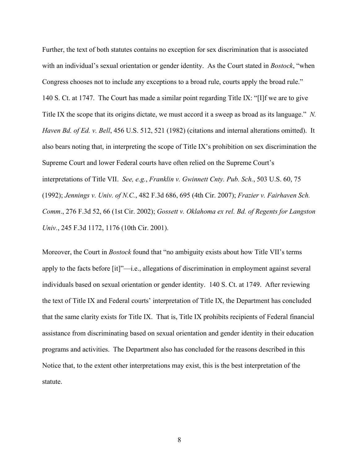Further, the text of both statutes contains no exception for sex discrimination that is associated with an individual's sexual orientation or gender identity. As the Court stated in *Bostock*, "when Congress chooses not to include any exceptions to a broad rule, courts apply the broad rule." 140 S. Ct. at 1747. The Court has made a similar point regarding Title IX: "[I]f we are to give Title IX the scope that its origins dictate, we must accord it a sweep as broad as its language." *N. Haven Bd. of Ed. v. Bell*, 456 U.S. 512, 521 (1982) (citations and internal alterations omitted). It also bears noting that, in interpreting the scope of Title IX's prohibition on sex discrimination the Supreme Court and lower Federal courts have often relied on the Supreme Court's interpretations of Title VII. *See, e.g.*, *Franklin v. Gwinnett Cnty. Pub. Sch.*, 503 U.S. 60, 75 (1992); *Jennings v. Univ. of N.C.*, 482 F.3d 686, 695 (4th Cir. 2007); *Frazier v. Fairhaven Sch. Comm*., 276 F.3d 52, 66 (1st Cir. 2002); *Gossett v. Oklahoma ex rel. Bd. of Regents for Langston Univ.*, 245 F.3d 1172, 1176 (10th Cir. 2001).

Moreover, the Court in *Bostock* found that "no ambiguity exists about how Title VII's terms apply to the facts before [it]"—i.e., allegations of discrimination in employment against several individuals based on sexual orientation or gender identity. 140 S. Ct. at 1749. After reviewing the text of Title IX and Federal courts' interpretation of Title IX, the Department has concluded that the same clarity exists for Title IX. That is, Title IX prohibits recipients of Federal financial assistance from discriminating based on sexual orientation and gender identity in their education programs and activities. The Department also has concluded for the reasons described in this Notice that, to the extent other interpretations may exist, this is the best interpretation of the statute.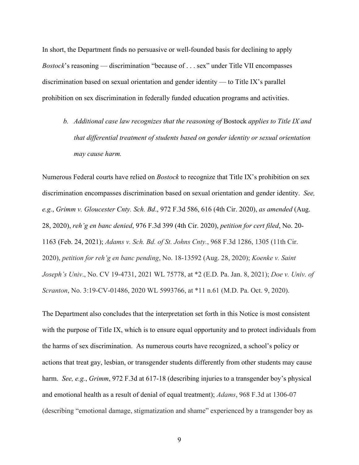In short, the Department finds no persuasive or well-founded basis for declining to apply *Bostock*'s reasoning — discrimination "because of . . . sex" under Title VII encompasses discrimination based on sexual orientation and gender identity — to Title IX's parallel prohibition on sex discrimination in federally funded education programs and activities.

*b. Additional case law recognizes that the reasoning of* Bostock *applies to Title IX and that differential treatment of students based on gender identity or sexual orientation may cause harm.* 

Numerous Federal courts have relied on *Bostock* to recognize that Title IX's prohibition on sex discrimination encompasses discrimination based on sexual orientation and gender identity. *See, e.g.*, *Grimm v. Gloucester Cnty. Sch. Bd*., 972 F.3d 586, 616 (4th Cir. 2020), *as amended* (Aug. 28, 2020), *reh'g en banc denied*, 976 F.3d 399 (4th Cir. 2020), *petition for cert filed*, No. 20- 1163 (Feb. 24, 2021); *Adams v. Sch. Bd. of St. Johns Cnty.*, 968 F.3d 1286, 1305 (11th Cir. 2020), *petition for reh'g en banc pending*, No. 18-13592 (Aug. 28, 2020); *Koenke v. Saint Joseph's Univ*., No. CV 19-4731, 2021 WL 75778, at \*2 (E.D. Pa. Jan. 8, 2021); *Doe v. Univ. of Scranton*, No. 3:19-CV-01486, 2020 WL 5993766, at \*11 n.61 (M.D. Pa. Oct. 9, 2020).

The Department also concludes that the interpretation set forth in this Notice is most consistent with the purpose of Title IX, which is to ensure equal opportunity and to protect individuals from the harms of sex discrimination. As numerous courts have recognized, a school's policy or actions that treat gay, lesbian, or transgender students differently from other students may cause harm. *See, e.g.*, *Grimm*, 972 F.3d at 617-18 (describing injuries to a transgender boy's physical and emotional health as a result of denial of equal treatment); *Adams*, 968 F.3d at 1306-07 (describing "emotional damage, stigmatization and shame" experienced by a transgender boy as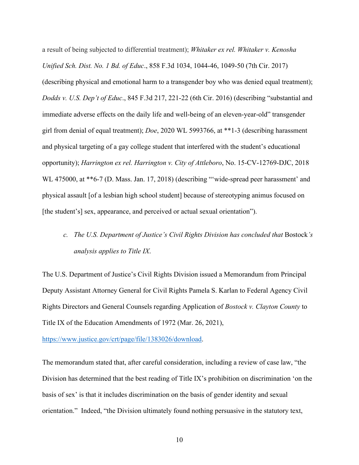a result of being subjected to differential treatment); *Whitaker ex rel. Whitaker v. Kenosha Unified Sch. Dist. No. 1 Bd. of Educ*., 858 F.3d 1034, 1044-46, 1049-50 (7th Cir. 2017) (describing physical and emotional harm to a transgender boy who was denied equal treatment); *Dodds v. U.S. Dep't of Educ*., 845 F.3d 217, 221-22 (6th Cir. 2016) (describing "substantial and immediate adverse effects on the daily life and well-being of an eleven-year-old" transgender girl from denial of equal treatment); *Doe*, 2020 WL 5993766, at \*\*1-3 (describing harassment and physical targeting of a gay college student that interfered with the student's educational opportunity); *Harrington ex rel. Harrington v. City of Attleboro*, No. 15-CV-12769-DJC, 2018 WL 475000, at \*\*6-7 (D. Mass. Jan. 17, 2018) (describing "'wide-spread peer harassment' and physical assault [of a lesbian high school student] because of stereotyping animus focused on [the student's] sex, appearance, and perceived or actual sexual orientation").

*c. The U.S. Department of Justice's Civil Rights Division has concluded that Bostock's analysis applies to Title IX*.

The U.S. Department of Justice's Civil Rights Division issued a Memorandum from Principal Deputy Assistant Attorney General for Civil Rights Pamela S. Karlan to Federal Agency Civil Rights Directors and General Counsels regarding Application of *Bostock v. Clayton County* to Title IX of the Education Amendments of 1972 (Mar. 26, 2021),

[https://www.justice.gov/crt/page/file/1383026/download.](https://www.justice.gov/crt/page/file/1383026/download)

The memorandum stated that, after careful consideration, including a review of case law, "the Division has determined that the best reading of Title IX's prohibition on discrimination 'on the basis of sex' is that it includes discrimination on the basis of gender identity and sexual orientation." Indeed, "the Division ultimately found nothing persuasive in the statutory text,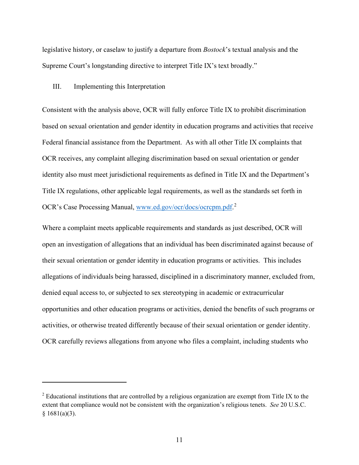legislative history, or caselaw to justify a departure from *Bostock*'s textual analysis and the Supreme Court's longstanding directive to interpret Title IX's text broadly."

### III. Implementing this Interpretation

Consistent with the analysis above, OCR will fully enforce Title IX to prohibit discrimination based on sexual orientation and gender identity in education programs and activities that receive Federal financial assistance from the Department. As with all other Title IX complaints that OCR receives, any complaint alleging discrimination based on sexual orientation or gender identity also must meet jurisdictional requirements as defined in Title IX and the Department's Title IX regulations, other applicable legal requirements, as well as the standards set forth in OCR's Case Processing Manual, [www.ed.gov/ocr/docs/ocrcpm.pdf.](http://www.ed.gov/ocr/docs/ocrcpm.pdf)<sup>[2](#page-10-0)</sup>

Where a complaint meets applicable requirements and standards as just described, OCR will open an investigation of allegations that an individual has been discriminated against because of their sexual orientation or gender identity in education programs or activities. This includes allegations of individuals being harassed, disciplined in a discriminatory manner, excluded from, denied equal access to, or subjected to sex stereotyping in academic or extracurricular opportunities and other education programs or activities, denied the benefits of such programs or activities, or otherwise treated differently because of their sexual orientation or gender identity. OCR carefully reviews allegations from anyone who files a complaint, including students who

<span id="page-10-0"></span><sup>&</sup>lt;sup>2</sup> Educational institutions that are controlled by a religious organization are exempt from Title IX to the extent that compliance would not be consistent with the organization's religious tenets. *See* 20 U.S.C. § 1681(a)(3).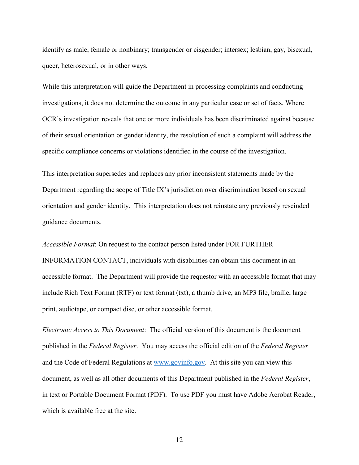identify as male, female or nonbinary; transgender or cisgender; intersex; lesbian, gay, bisexual, queer, heterosexual, or in other ways.

While this interpretation will guide the Department in processing complaints and conducting investigations, it does not determine the outcome in any particular case or set of facts. Where OCR's investigation reveals that one or more individuals has been discriminated against because of their sexual orientation or gender identity, the resolution of such a complaint will address the specific compliance concerns or violations identified in the course of the investigation.

This interpretation supersedes and replaces any prior inconsistent statements made by the Department regarding the scope of Title IX's jurisdiction over discrimination based on sexual orientation and gender identity. This interpretation does not reinstate any previously rescinded guidance documents.

*Accessible Format*: On request to the contact person listed under FOR FURTHER INFORMATION CONTACT, individuals with disabilities can obtain this document in an accessible format. The Department will provide the requestor with an accessible format that may include Rich Text Format (RTF) or text format (txt), a thumb drive, an MP3 file, braille, large print, audiotape, or compact disc, or other accessible format.

*Electronic Access to This Document*: The official version of this document is the document published in the *Federal Register*. You may access the official edition of the *Federal Register*  and the Code of Federal Regulations at [www.govinfo.gov.](http://www.govinfo.gov/) At this site you can view this document, as well as all other documents of this Department published in the *Federal Register*, in text or Portable Document Format (PDF). To use PDF you must have Adobe Acrobat Reader, which is available free at the site.